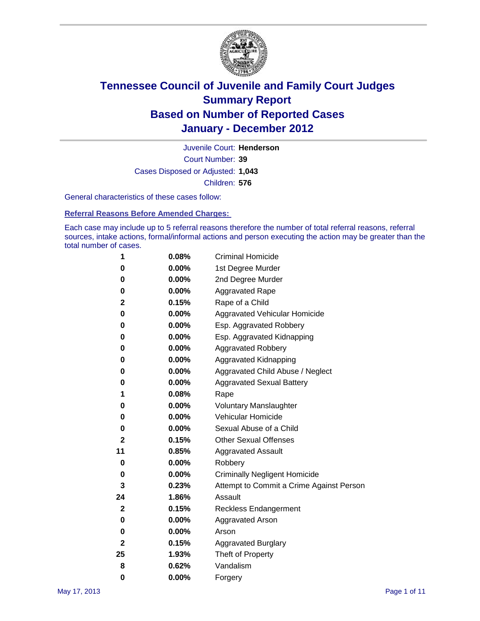

Court Number: **39** Juvenile Court: **Henderson** Cases Disposed or Adjusted: **1,043** Children: **576**

General characteristics of these cases follow:

**Referral Reasons Before Amended Charges:** 

Each case may include up to 5 referral reasons therefore the number of total referral reasons, referral sources, intake actions, formal/informal actions and person executing the action may be greater than the total number of cases.

| 1  | 0.08% | <b>Criminal Homicide</b>                 |
|----|-------|------------------------------------------|
| 0  | 0.00% | 1st Degree Murder                        |
| 0  | 0.00% | 2nd Degree Murder                        |
| 0  | 0.00% | <b>Aggravated Rape</b>                   |
| 2  | 0.15% | Rape of a Child                          |
| 0  | 0.00% | Aggravated Vehicular Homicide            |
| 0  | 0.00% | Esp. Aggravated Robbery                  |
| 0  | 0.00% | Esp. Aggravated Kidnapping               |
| 0  | 0.00% | <b>Aggravated Robbery</b>                |
| 0  | 0.00% | Aggravated Kidnapping                    |
| 0  | 0.00% | Aggravated Child Abuse / Neglect         |
| 0  | 0.00% | <b>Aggravated Sexual Battery</b>         |
| 1  | 0.08% | Rape                                     |
| 0  | 0.00% | <b>Voluntary Manslaughter</b>            |
| 0  | 0.00% | Vehicular Homicide                       |
| 0  | 0.00% | Sexual Abuse of a Child                  |
| 2  | 0.15% | <b>Other Sexual Offenses</b>             |
| 11 | 0.85% | <b>Aggravated Assault</b>                |
| 0  | 0.00% | Robbery                                  |
| 0  | 0.00% | <b>Criminally Negligent Homicide</b>     |
| 3  | 0.23% | Attempt to Commit a Crime Against Person |
| 24 | 1.86% | Assault                                  |
| 2  | 0.15% | <b>Reckless Endangerment</b>             |
| 0  | 0.00% | <b>Aggravated Arson</b>                  |
| 0  | 0.00% | Arson                                    |
| 2  | 0.15% | <b>Aggravated Burglary</b>               |
| 25 | 1.93% | Theft of Property                        |
| 8  | 0.62% | Vandalism                                |
| 0  | 0.00% | Forgery                                  |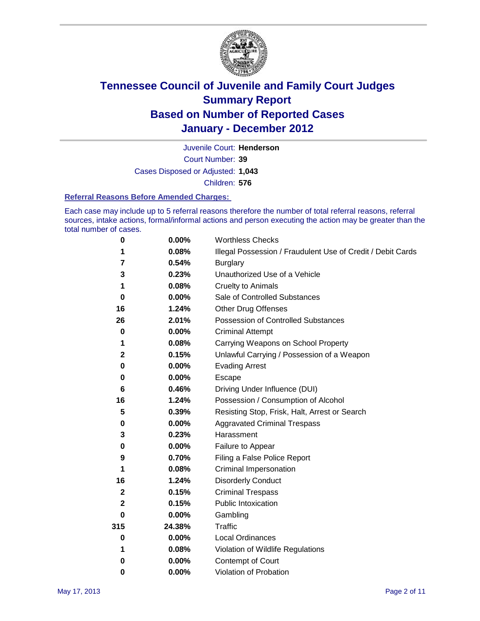

Court Number: **39** Juvenile Court: **Henderson** Cases Disposed or Adjusted: **1,043** Children: **576**

#### **Referral Reasons Before Amended Charges:**

Each case may include up to 5 referral reasons therefore the number of total referral reasons, referral sources, intake actions, formal/informal actions and person executing the action may be greater than the total number of cases.

| $\pmb{0}$    | 0.00%    | <b>Worthless Checks</b>                                     |
|--------------|----------|-------------------------------------------------------------|
| 1            | 0.08%    | Illegal Possession / Fraudulent Use of Credit / Debit Cards |
| 7            | 0.54%    | <b>Burglary</b>                                             |
| 3            | 0.23%    | Unauthorized Use of a Vehicle                               |
| 1            | 0.08%    | <b>Cruelty to Animals</b>                                   |
| $\bf{0}$     | 0.00%    | Sale of Controlled Substances                               |
| 16           | 1.24%    | <b>Other Drug Offenses</b>                                  |
| 26           | 2.01%    | Possession of Controlled Substances                         |
| 0            | $0.00\%$ | <b>Criminal Attempt</b>                                     |
| 1            | 0.08%    | Carrying Weapons on School Property                         |
| $\mathbf 2$  | 0.15%    | Unlawful Carrying / Possession of a Weapon                  |
| 0            | $0.00\%$ | <b>Evading Arrest</b>                                       |
| 0            | 0.00%    | Escape                                                      |
| 6            | 0.46%    | Driving Under Influence (DUI)                               |
| 16           | 1.24%    | Possession / Consumption of Alcohol                         |
| 5            | 0.39%    | Resisting Stop, Frisk, Halt, Arrest or Search               |
| 0            | $0.00\%$ | <b>Aggravated Criminal Trespass</b>                         |
| 3            | 0.23%    | Harassment                                                  |
| 0            | 0.00%    | Failure to Appear                                           |
| 9            | 0.70%    | Filing a False Police Report                                |
| 1            | 0.08%    | Criminal Impersonation                                      |
| 16           | 1.24%    | <b>Disorderly Conduct</b>                                   |
| $\mathbf{2}$ | 0.15%    | <b>Criminal Trespass</b>                                    |
| 2            | 0.15%    | Public Intoxication                                         |
| 0            | 0.00%    | Gambling                                                    |
| 315          | 24.38%   | <b>Traffic</b>                                              |
| 0            | $0.00\%$ | Local Ordinances                                            |
| 1            | 0.08%    | Violation of Wildlife Regulations                           |
| 0            | $0.00\%$ | Contempt of Court                                           |
| 0            | 0.00%    | Violation of Probation                                      |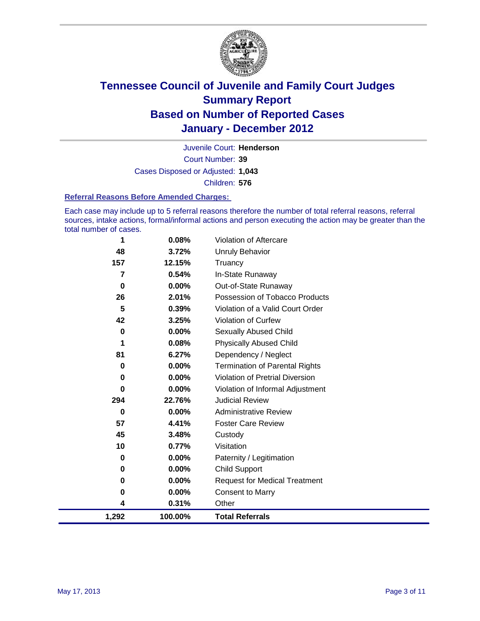

Court Number: **39** Juvenile Court: **Henderson** Cases Disposed or Adjusted: **1,043** Children: **576**

#### **Referral Reasons Before Amended Charges:**

Each case may include up to 5 referral reasons therefore the number of total referral reasons, referral sources, intake actions, formal/informal actions and person executing the action may be greater than the total number of cases.

| 1        | 0.08%    | Violation of Aftercare                 |
|----------|----------|----------------------------------------|
| 48       | 3.72%    | Unruly Behavior                        |
| 157      | 12.15%   | Truancy                                |
| 7        | 0.54%    | In-State Runaway                       |
| 0        | 0.00%    | Out-of-State Runaway                   |
| 26       | 2.01%    | Possession of Tobacco Products         |
| 5        | 0.39%    | Violation of a Valid Court Order       |
| 42       | 3.25%    | Violation of Curfew                    |
| 0        | $0.00\%$ | <b>Sexually Abused Child</b>           |
| 1        | 0.08%    | <b>Physically Abused Child</b>         |
| 81       | 6.27%    | Dependency / Neglect                   |
| 0        | 0.00%    | <b>Termination of Parental Rights</b>  |
| $\bf{0}$ | 0.00%    | <b>Violation of Pretrial Diversion</b> |
| 0        | 0.00%    | Violation of Informal Adjustment       |
| 294      | 22.76%   | <b>Judicial Review</b>                 |
| 0        | 0.00%    | <b>Administrative Review</b>           |
| 57       | 4.41%    | <b>Foster Care Review</b>              |
| 45       | 3.48%    | Custody                                |
| 10       | 0.77%    | Visitation                             |
| 0        | 0.00%    | Paternity / Legitimation               |
| 0        | 0.00%    | <b>Child Support</b>                   |
| 0        | 0.00%    | <b>Request for Medical Treatment</b>   |
| 0        | 0.00%    | <b>Consent to Marry</b>                |
| 4        | 0.31%    | Other                                  |
| 1,292    | 100.00%  | <b>Total Referrals</b>                 |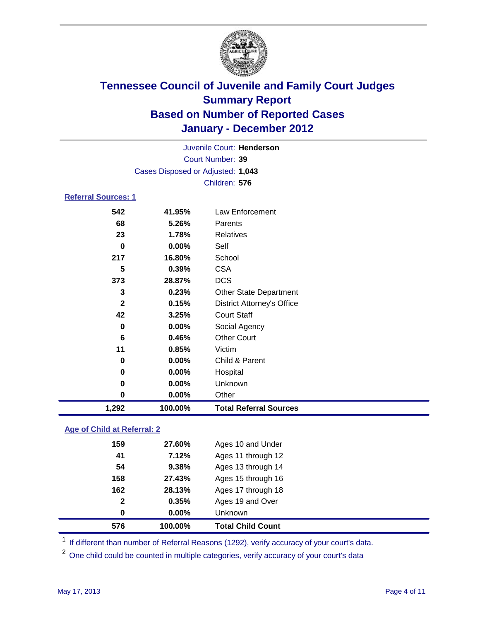

| 1,292                      | 100.00%                           | <b>Total Referral Sources</b>     |  |  |  |
|----------------------------|-----------------------------------|-----------------------------------|--|--|--|
| 0                          | 0.00%                             | Other                             |  |  |  |
| 0                          | 0.00%                             | Unknown                           |  |  |  |
| 0                          | $0.00\%$                          | Hospital                          |  |  |  |
| 0                          | $0.00\%$                          | Child & Parent                    |  |  |  |
| 11                         | 0.85%                             | Victim                            |  |  |  |
| 6                          | 0.46%                             | <b>Other Court</b>                |  |  |  |
| $\bf{0}$                   | $0.00\%$                          | Social Agency                     |  |  |  |
| 42                         | 3.25%                             | <b>Court Staff</b>                |  |  |  |
| $\mathbf{2}$               | 0.15%                             | <b>District Attorney's Office</b> |  |  |  |
| 3                          | 0.23%                             | <b>Other State Department</b>     |  |  |  |
| 373                        | 28.87%                            | <b>DCS</b>                        |  |  |  |
| 5                          | 0.39%                             | <b>CSA</b>                        |  |  |  |
| 217                        | 16.80%                            | School                            |  |  |  |
| $\bf{0}$                   | 0.00%                             | Self                              |  |  |  |
| 23                         | 1.78%                             | <b>Relatives</b>                  |  |  |  |
| 68                         | 5.26%                             | Parents                           |  |  |  |
| 542                        | 41.95%                            | Law Enforcement                   |  |  |  |
| <b>Referral Sources: 1</b> |                                   |                                   |  |  |  |
|                            |                                   | Children: 576                     |  |  |  |
|                            | Cases Disposed or Adjusted: 1,043 |                                   |  |  |  |
|                            | <b>Court Number: 39</b>           |                                   |  |  |  |
|                            |                                   | Juvenile Court: Henderson         |  |  |  |
|                            |                                   |                                   |  |  |  |

### **Age of Child at Referral: 2**

| 576 | 100.00%               | <b>Total Child Count</b> |
|-----|-----------------------|--------------------------|
|     | $0.00\%$<br>0         | Unknown                  |
|     | $\mathbf{2}$<br>0.35% | Ages 19 and Over         |
| 162 | 28.13%                | Ages 17 through 18       |
| 158 | 27.43%                | Ages 15 through 16       |
| 54  | 9.38%                 | Ages 13 through 14       |
| 41  | 7.12%                 | Ages 11 through 12       |
| 159 | 27.60%                | Ages 10 and Under        |
|     |                       |                          |

<sup>1</sup> If different than number of Referral Reasons (1292), verify accuracy of your court's data.

<sup>2</sup> One child could be counted in multiple categories, verify accuracy of your court's data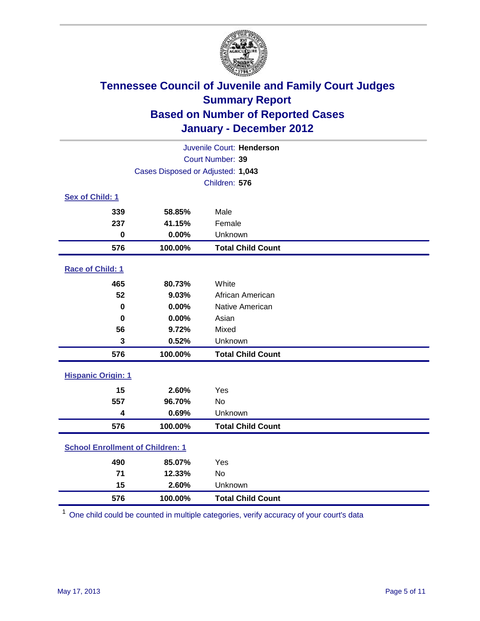

| Juvenile Court: Henderson               |                                   |                          |  |  |  |
|-----------------------------------------|-----------------------------------|--------------------------|--|--|--|
|                                         | Court Number: 39                  |                          |  |  |  |
|                                         | Cases Disposed or Adjusted: 1,043 |                          |  |  |  |
|                                         |                                   | Children: 576            |  |  |  |
| Sex of Child: 1                         |                                   |                          |  |  |  |
| 339                                     | 58.85%                            | Male                     |  |  |  |
| 237                                     | 41.15%                            | Female                   |  |  |  |
| $\mathbf 0$                             | 0.00%                             | Unknown                  |  |  |  |
| 576                                     | 100.00%                           | <b>Total Child Count</b> |  |  |  |
| Race of Child: 1                        |                                   |                          |  |  |  |
| 465                                     | 80.73%                            | White                    |  |  |  |
| 52                                      | 9.03%                             | African American         |  |  |  |
| $\mathbf 0$<br>0.00%                    |                                   | Native American          |  |  |  |
| 0.00%<br>$\bf{0}$                       |                                   | Asian                    |  |  |  |
| 56                                      | 9.72%                             | Mixed                    |  |  |  |
| 3                                       | 0.52%                             | Unknown                  |  |  |  |
| 576                                     | 100.00%                           | <b>Total Child Count</b> |  |  |  |
| <b>Hispanic Origin: 1</b>               |                                   |                          |  |  |  |
| 15                                      | 2.60%                             | Yes                      |  |  |  |
| 557                                     | 96.70%                            | No                       |  |  |  |
| 4                                       | 0.69%                             | Unknown                  |  |  |  |
| 576                                     | 100.00%                           | <b>Total Child Count</b> |  |  |  |
| <b>School Enrollment of Children: 1</b> |                                   |                          |  |  |  |
| 490                                     | 85.07%                            | Yes                      |  |  |  |
| 71                                      | 12.33%                            | <b>No</b>                |  |  |  |
| 15                                      | 2.60%                             | Unknown                  |  |  |  |
| 576                                     | 100.00%                           | <b>Total Child Count</b> |  |  |  |

One child could be counted in multiple categories, verify accuracy of your court's data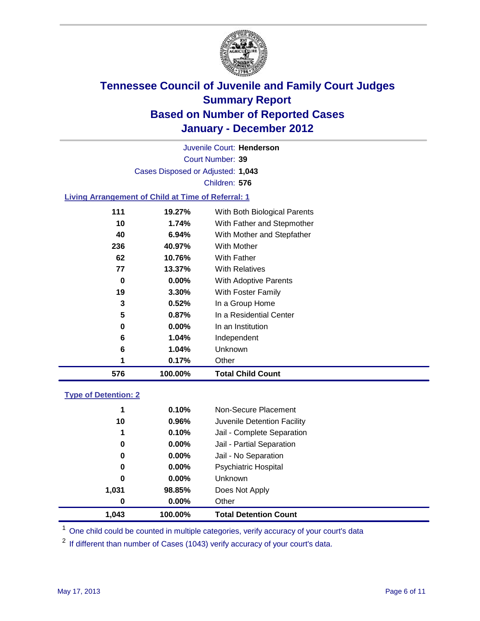

Court Number: **39** Juvenile Court: **Henderson** Cases Disposed or Adjusted: **1,043** Children: **576**

#### **Living Arrangement of Child at Time of Referral: 1**

| 576 | 100.00% | <b>Total Child Count</b>     |
|-----|---------|------------------------------|
| 1   | 0.17%   | Other                        |
| 6   | 1.04%   | Unknown                      |
| 6   | 1.04%   | Independent                  |
| 0   | 0.00%   | In an Institution            |
| 5   | 0.87%   | In a Residential Center      |
| 3   | 0.52%   | In a Group Home              |
| 19  | 3.30%   | With Foster Family           |
| 0   | 0.00%   | With Adoptive Parents        |
| 77  | 13.37%  | <b>With Relatives</b>        |
| 62  | 10.76%  | With Father                  |
| 236 | 40.97%  | With Mother                  |
| 40  | 6.94%   | With Mother and Stepfather   |
| 10  | 1.74%   | With Father and Stepmother   |
| 111 | 19.27%  | With Both Biological Parents |

### **Type of Detention: 2**

| 1.043 | 100.00%  | <b>Total Detention Count</b> |  |
|-------|----------|------------------------------|--|
| 0     | 0.00%    | Other                        |  |
| 1,031 | 98.85%   | Does Not Apply               |  |
| 0     | $0.00\%$ | Unknown                      |  |
| 0     | $0.00\%$ | Psychiatric Hospital         |  |
| 0     | 0.00%    | Jail - No Separation         |  |
| 0     | $0.00\%$ | Jail - Partial Separation    |  |
| 1     | 0.10%    | Jail - Complete Separation   |  |
| 10    | 0.96%    | Juvenile Detention Facility  |  |
| 1     | 0.10%    | Non-Secure Placement         |  |
|       |          |                              |  |

<sup>1</sup> One child could be counted in multiple categories, verify accuracy of your court's data

<sup>2</sup> If different than number of Cases (1043) verify accuracy of your court's data.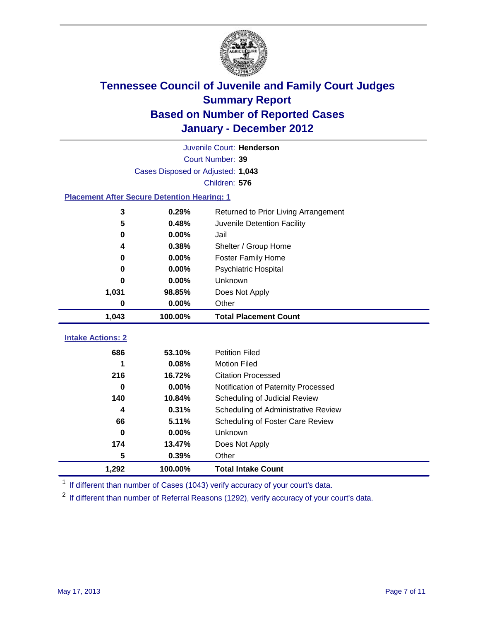

|                                                    | Juvenile Court: Henderson         |                                      |  |  |  |
|----------------------------------------------------|-----------------------------------|--------------------------------------|--|--|--|
|                                                    | Court Number: 39                  |                                      |  |  |  |
|                                                    | Cases Disposed or Adjusted: 1,043 |                                      |  |  |  |
|                                                    |                                   | Children: 576                        |  |  |  |
| <b>Placement After Secure Detention Hearing: 1</b> |                                   |                                      |  |  |  |
| 3                                                  | 0.29%                             | Returned to Prior Living Arrangement |  |  |  |
| 5                                                  | 0.48%                             | Juvenile Detention Facility          |  |  |  |
| $\bf{0}$                                           | 0.00%                             | Jail                                 |  |  |  |
| 4                                                  | 0.38%                             | Shelter / Group Home                 |  |  |  |
| 0                                                  | 0.00%                             | <b>Foster Family Home</b>            |  |  |  |
| 0                                                  | 0.00%                             | Psychiatric Hospital                 |  |  |  |
| 0                                                  | $0.00\%$                          | <b>Unknown</b>                       |  |  |  |
| 1,031<br>98.85%                                    |                                   | Does Not Apply                       |  |  |  |
| 0<br>0.00%                                         |                                   | Other                                |  |  |  |
| 1,043                                              | 100.00%                           | <b>Total Placement Count</b>         |  |  |  |
|                                                    |                                   |                                      |  |  |  |
| <b>Intake Actions: 2</b>                           |                                   |                                      |  |  |  |
| 686<br>53.10%                                      |                                   | <b>Petition Filed</b>                |  |  |  |
| 1                                                  | 0.08%                             | <b>Motion Filed</b>                  |  |  |  |
| 216                                                | 16.72%                            | <b>Citation Processed</b>            |  |  |  |
| $\bf{0}$                                           | $0.00\%$                          | Notification of Paternity Processed  |  |  |  |
| 140                                                | 10.84%                            | Scheduling of Judicial Review        |  |  |  |
| 4                                                  | 0.31%                             | Scheduling of Administrative Review  |  |  |  |
| 66                                                 | 5.11%                             | Scheduling of Foster Care Review     |  |  |  |
| $\bf{0}$                                           | 0.00%                             | <b>Unknown</b>                       |  |  |  |
| 174                                                | 13.47%                            | Does Not Apply                       |  |  |  |
| 5                                                  | 0.39%                             | Other                                |  |  |  |
| 1,292                                              | 100.00%                           | <b>Total Intake Count</b>            |  |  |  |

<sup>1</sup> If different than number of Cases (1043) verify accuracy of your court's data.

<sup>2</sup> If different than number of Referral Reasons (1292), verify accuracy of your court's data.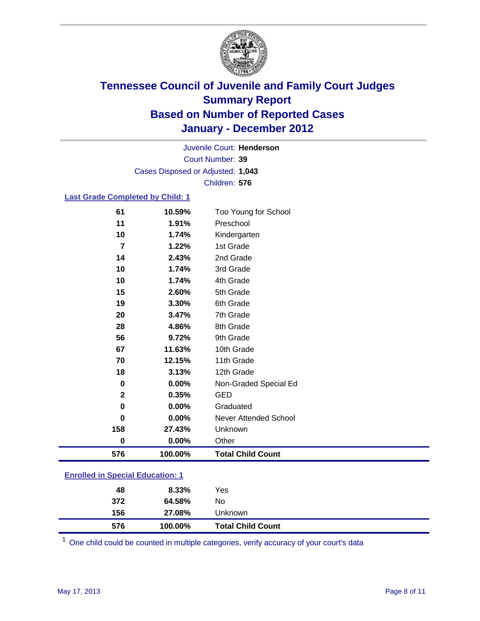

Court Number: **39** Juvenile Court: **Henderson** Cases Disposed or Adjusted: **1,043** Children: **576**

#### **Last Grade Completed by Child: 1**

| 576          | 100.00%         | <b>Total Child Count</b>          |  |
|--------------|-----------------|-----------------------------------|--|
| $\bf{0}$     | 0.00%           | Other                             |  |
| 158          | 27.43%          | Unknown                           |  |
| 0            | 0.00%           | Never Attended School             |  |
| 0            | 0.00%           | Graduated                         |  |
| $\mathbf{2}$ | 0.35%           | <b>GED</b>                        |  |
| $\bf{0}$     | 0.00%           | Non-Graded Special Ed             |  |
| 18           | 3.13%           | 12th Grade                        |  |
| 70           | 12.15%          | 11th Grade                        |  |
| 67           | 11.63%          | 10th Grade                        |  |
| 56           | 9.72%           | 9th Grade                         |  |
| 28           | 4.86%           | 8th Grade                         |  |
| 20           | 3.47%           | 7th Grade                         |  |
| 19           | 3.30%           | 6th Grade                         |  |
| 15           | 2.60%           | 5th Grade                         |  |
| 10           | 1.74%           | 4th Grade                         |  |
| 10           | 1.74%           | 3rd Grade                         |  |
| 14           | 2.43%           | 2nd Grade                         |  |
| 7            | 1.22%           | 1st Grade                         |  |
| 10           | 1.74%           | Kindergarten                      |  |
| 61<br>11     | 10.59%<br>1.91% | Too Young for School<br>Preschool |  |

### **Enrolled in Special Education: 1**

| 576 | 100.00%       |     | <b>Total Child Count</b> |
|-----|---------------|-----|--------------------------|
|     | 156<br>27.08% |     | Unknown                  |
| 372 | 64.58%        | No  |                          |
|     | 8.33%<br>48   | Yes |                          |
|     |               |     |                          |

One child could be counted in multiple categories, verify accuracy of your court's data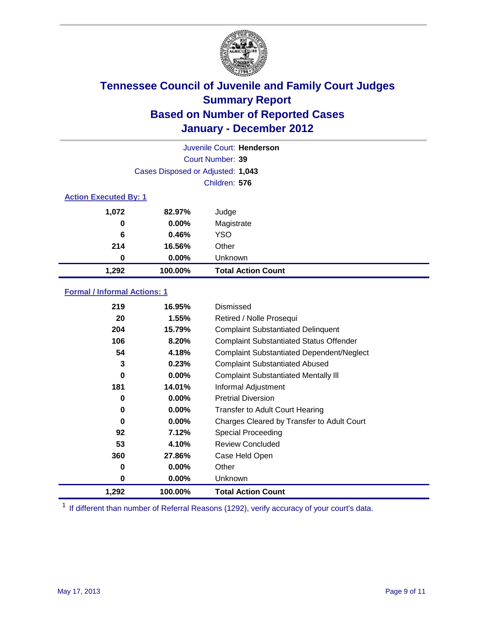

| Juvenile Court: Henderson |                                   |                           |  |  |  |
|---------------------------|-----------------------------------|---------------------------|--|--|--|
|                           | Court Number: 39                  |                           |  |  |  |
|                           | Cases Disposed or Adjusted: 1,043 |                           |  |  |  |
|                           | Children: 576                     |                           |  |  |  |
|                           | <b>Action Executed By: 1</b>      |                           |  |  |  |
| 1,072<br>82.97%           |                                   | Judge                     |  |  |  |
| 0                         | $0.00\%$                          | Magistrate                |  |  |  |
| 6                         | 0.46%                             | <b>YSO</b>                |  |  |  |
| 214                       | 16.56%                            | Other                     |  |  |  |
| 0                         | 0.00%                             | Unknown                   |  |  |  |
| 1,292<br>100.00%          |                                   | <b>Total Action Count</b> |  |  |  |

### **Formal / Informal Actions: 1**

| 219         | 16.95%   | Dismissed                                        |
|-------------|----------|--------------------------------------------------|
| 20          | 1.55%    | Retired / Nolle Prosequi                         |
| 204         | 15.79%   | <b>Complaint Substantiated Delinquent</b>        |
| 106         | 8.20%    | <b>Complaint Substantiated Status Offender</b>   |
| 54          | 4.18%    | <b>Complaint Substantiated Dependent/Neglect</b> |
| 3           | 0.23%    | <b>Complaint Substantiated Abused</b>            |
| $\mathbf 0$ | $0.00\%$ | <b>Complaint Substantiated Mentally III</b>      |
| 181         | 14.01%   | Informal Adjustment                              |
| 0           | $0.00\%$ | <b>Pretrial Diversion</b>                        |
| 0           | $0.00\%$ | <b>Transfer to Adult Court Hearing</b>           |
| 0           | $0.00\%$ | Charges Cleared by Transfer to Adult Court       |
| 92          | 7.12%    | Special Proceeding                               |
| 53          | 4.10%    | <b>Review Concluded</b>                          |
| 360         | 27.86%   | Case Held Open                                   |
| 0           | $0.00\%$ | Other                                            |
| 0           | $0.00\%$ | <b>Unknown</b>                                   |
| 1,292       | 100.00%  | <b>Total Action Count</b>                        |

<sup>1</sup> If different than number of Referral Reasons (1292), verify accuracy of your court's data.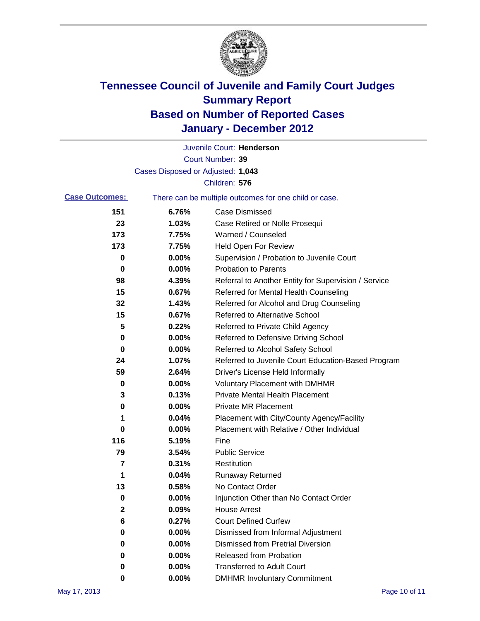

|                       |                                   | Juvenile Court: Henderson                             |
|-----------------------|-----------------------------------|-------------------------------------------------------|
|                       |                                   | <b>Court Number: 39</b>                               |
|                       | Cases Disposed or Adjusted: 1,043 |                                                       |
|                       |                                   | Children: 576                                         |
| <b>Case Outcomes:</b> |                                   | There can be multiple outcomes for one child or case. |
| 151                   | 6.76%                             | <b>Case Dismissed</b>                                 |
| 23                    | 1.03%                             | Case Retired or Nolle Prosequi                        |
| 173                   | 7.75%                             | Warned / Counseled                                    |
| 173                   | 7.75%                             | Held Open For Review                                  |
| 0                     | 0.00%                             | Supervision / Probation to Juvenile Court             |
| 0                     | 0.00%                             | <b>Probation to Parents</b>                           |
| 98                    | 4.39%                             | Referral to Another Entity for Supervision / Service  |
| 15                    | 0.67%                             | Referred for Mental Health Counseling                 |
| 32                    | 1.43%                             | Referred for Alcohol and Drug Counseling              |
| 15                    | 0.67%                             | <b>Referred to Alternative School</b>                 |
| 5                     | 0.22%                             | Referred to Private Child Agency                      |
| 0                     | 0.00%                             | Referred to Defensive Driving School                  |
| 0                     | 0.00%                             | Referred to Alcohol Safety School                     |
| 24                    | 1.07%                             | Referred to Juvenile Court Education-Based Program    |
| 59                    | 2.64%                             | Driver's License Held Informally                      |
| 0                     | 0.00%                             | <b>Voluntary Placement with DMHMR</b>                 |
| 3                     | 0.13%                             | <b>Private Mental Health Placement</b>                |
| 0                     | 0.00%                             | <b>Private MR Placement</b>                           |
| 1                     | 0.04%                             | Placement with City/County Agency/Facility            |
| 0                     | 0.00%                             | Placement with Relative / Other Individual            |
| 116                   | 5.19%                             | Fine                                                  |
| 79                    | 3.54%                             | <b>Public Service</b>                                 |
| 7                     | 0.31%                             | Restitution                                           |
| 1                     | 0.04%                             | <b>Runaway Returned</b>                               |
| 13                    | 0.58%                             | No Contact Order                                      |
| 0                     | 0.00%                             | Injunction Other than No Contact Order                |
| 2                     | 0.09%                             | <b>House Arrest</b>                                   |
| 6                     | 0.27%                             | <b>Court Defined Curfew</b>                           |
| 0                     | 0.00%                             | Dismissed from Informal Adjustment                    |
| 0                     | 0.00%                             | <b>Dismissed from Pretrial Diversion</b>              |
| 0                     | 0.00%                             | <b>Released from Probation</b>                        |
| 0                     | 0.00%                             | <b>Transferred to Adult Court</b>                     |
| 0                     | 0.00%                             | <b>DMHMR Involuntary Commitment</b>                   |